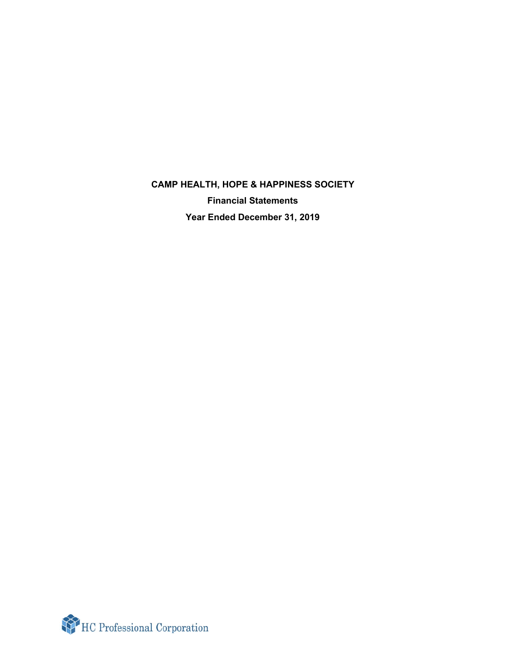**CAMP HEALTH, HOPE & HAPPINESS SOCIETY Financial Statements Year Ended December 31, 2019**

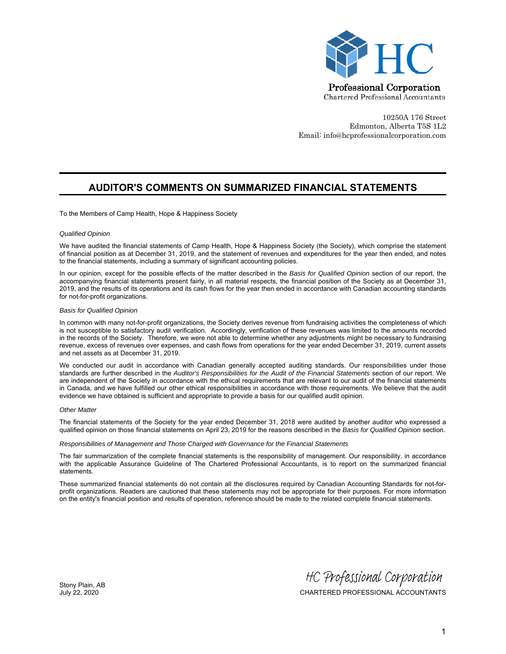

10250A 176 Street Edmonton, Alberta T5S 1L2 Email: info@hcprofessionalcorporation.com

### **AUDITOR'S COMMENTS ON SUMMARIZED FINANCIAL STATEMENTS**

To the Members of Camp Health, Hope & Happiness Society

#### *Qualified Opinion*

We have audited the financial statements of Camp Health, Hope & Happiness Society (the Society), which comprise the statement of financial position as at December 31, 2019, and the statement of revenues and expenditures for the year then ended, and notes to the financial statements, including a summary of significant accounting policies.

In our opinion, except for the possible effects of the matter described in the *Basis for Qualified Opinion* section of our report, the accompanying financial statements present fairly, in all material respects, the financial position of the Society as at December 31, 2019, and the results of its operations and its cash flows for the year then ended in accordance with Canadian accounting standards for not-for-profit organizations.

#### *Basis for Qualified Opinion*

In common with many not-for-profit organizations, the Society derives revenue from fundraising activities the completeness of which is not susceptible to satisfactory audit verification. Accordingly, verification of these revenues was limited to the amounts recorded in the records of the Society. Therefore, we were not able to determine whether any adjustments might be necessary to fundraising revenue, excess of revenues over expenses, and cash flows from operations for the year ended December 31, 2019, current assets and net assets as at December 31, 2019.

We conducted our audit in accordance with Canadian generally accepted auditing standards. Our responsibilities under those standards are further described in the *Auditor's Responsibilities for the Audit of the Financial Statements* section of our report. We are independent of the Society in accordance with the ethical requirements that are relevant to our audit of the financial statements in Canada, and we have fulfilled our other ethical responsibilities in accordance with those requirements. We believe that the audit evidence we have obtained is sufficient and appropriate to provide a basis for our qualified audit opinion.

#### *Other Matter*

The financial statements of the Society for the year ended December 31, 2018 were audited by another auditor who expressed a qualified opinion on those financial statements on April 23, 2019 for the reasons described in the *Basis for Qualified Opinion* section.

#### *Responsibilities of Management and Those Charged with Governance for the Financial Statements*

The fair summarization of the complete financial statements is the responsibility of management. Our responsibility, in accordance with the applicable Assurance Guideline of The Chartered Professional Accountants, is to report on the summarized financial statements.

These summarized financial statements do not contain all the disclosures required by Canadian Accounting Standards for not-forprofit organizations. Readers are cautioned that these statements may not be appropriate for their purposes. For more information on the entity's financial position and results of operation, reference should be made to the related complete financial statements.

Stony Plain, AB

July 22, 2020 CHARTERED PROFESSIONAL ACCOUNTANTS HC Professional Corporation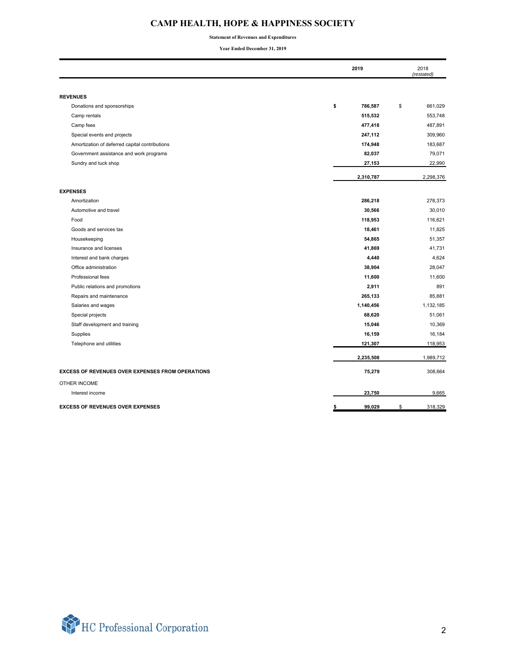# **CAMP HEALTH, HOPE & HAPPINESS SOCIETY**

**Statement of Revenues and Expenditures**

**Year Ended December 31, 2019**

|                                                         | 2019          | 2018<br>(restated) |
|---------------------------------------------------------|---------------|--------------------|
|                                                         |               |                    |
| <b>REVENUES</b>                                         |               |                    |
| Donations and sponsorships                              | \$<br>786,587 | 661,029<br>\$      |
| Camp rentals                                            | 515,532       | 553,748            |
| Camp fees                                               | 477,418       | 487,891            |
| Special events and projects                             | 247,112       | 309,960            |
| Amortization of deferred capital contributions          | 174,948       | 183,687            |
| Government assistance and work programs                 | 82,037        | 79,071             |
| Sundry and tuck shop                                    | 27,153        | 22,990             |
|                                                         | 2,310,787     | 2,298,376          |
| <b>EXPENSES</b>                                         |               |                    |
| Amortization                                            | 286,218       | 278,373            |
| Automotive and travel                                   | 30,566        | 30,010             |
| Food                                                    | 118,953       | 116,621            |
| Goods and services tax                                  | 18,461        | 11,825             |
| Housekeeping                                            | 54,865        | 51,357             |
| Insurance and licenses                                  | 41,869        | 41,731             |
| Interest and bank charges                               | 4,440         | 4,624              |
| Office administration                                   | 38,904        | 28,047             |
| Professional fees                                       | 11,600        | 11,600             |
| Public relations and promotions                         | 2,911         | 891                |
| Repairs and maintenance                                 | 265,133       | 85,881             |
| Salaries and wages                                      | 1,140,456     | 1,132,185          |
| Special projects                                        | 68,620        | 51,061             |
| Staff development and training                          | 15,046        | 10,369             |
| Supplies                                                | 16,159        | 16,184             |
| Telephone and utilities                                 | 121,307       | 118,953            |
|                                                         | 2,235,508     | 1,989,712          |
| <b>EXCESS OF REVENUES OVER EXPENSES FROM OPERATIONS</b> | 75,279        | 308,664            |
| <b>OTHER INCOME</b>                                     |               |                    |
| Interest income                                         | 23,750        | 9,665              |
| <b>EXCESS OF REVENUES OVER EXPENSES</b>                 | 99,029        | \$<br>318,329      |